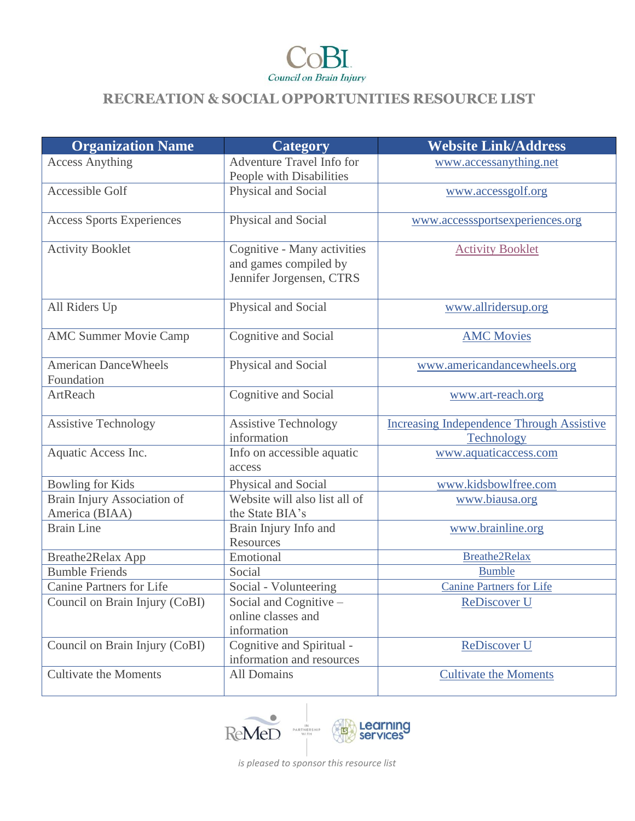

| <b>Organization Name</b>                             | Category                                                                         | <b>Website Link/Address</b>                                    |
|------------------------------------------------------|----------------------------------------------------------------------------------|----------------------------------------------------------------|
| <b>Access Anything</b>                               | Adventure Travel Info for<br>People with Disabilities                            | www.accessanything.net                                         |
| Accessible Golf                                      | Physical and Social                                                              | www.accessgolf.org                                             |
| <b>Access Sports Experiences</b>                     | Physical and Social                                                              | www.accesssportsexperiences.org                                |
| <b>Activity Booklet</b>                              | Cognitive - Many activities<br>and games compiled by<br>Jennifer Jorgensen, CTRS | <b>Activity Booklet</b>                                        |
| All Riders Up                                        | Physical and Social                                                              | www.allridersup.org                                            |
| <b>AMC Summer Movie Camp</b>                         | Cognitive and Social                                                             | <b>AMC Movies</b>                                              |
| <b>American DanceWheels</b><br>Foundation            | Physical and Social                                                              | www.americandancewheels.org                                    |
| ArtReach                                             | Cognitive and Social                                                             | www.art-reach.org                                              |
| <b>Assistive Technology</b>                          | <b>Assistive Technology</b><br>information                                       | <b>Increasing Independence Through Assistive</b><br>Technology |
| Aquatic Access Inc.                                  | Info on accessible aquatic<br>access                                             | www.aquaticaccess.com                                          |
| <b>Bowling for Kids</b>                              | Physical and Social                                                              | www.kidsbowlfree.com                                           |
| <b>Brain Injury Association of</b><br>America (BIAA) | Website will also list all of<br>the State BIA's                                 | www.biausa.org                                                 |
| <b>Brain Line</b>                                    | Brain Injury Info and<br>Resources                                               | www.brainline.org                                              |
| Breathe2Relax App                                    | Emotional                                                                        | Breathe2Relax                                                  |
| <b>Bumble Friends</b>                                | Social                                                                           | <b>Bumble</b>                                                  |
| <b>Canine Partners for Life</b>                      | Social - Volunteering                                                            | <b>Canine Partners for Life</b>                                |
| Council on Brain Injury (CoBI)                       | Social and Cognitive -<br>online classes and<br>information                      | <b>ReDiscover U</b>                                            |
| Council on Brain Injury (CoBI)                       | Cognitive and Spiritual -<br>information and resources                           | ReDiscover U                                                   |
| <b>Cultivate the Moments</b>                         | All Domains                                                                      | <b>Cultivate the Moments</b>                                   |



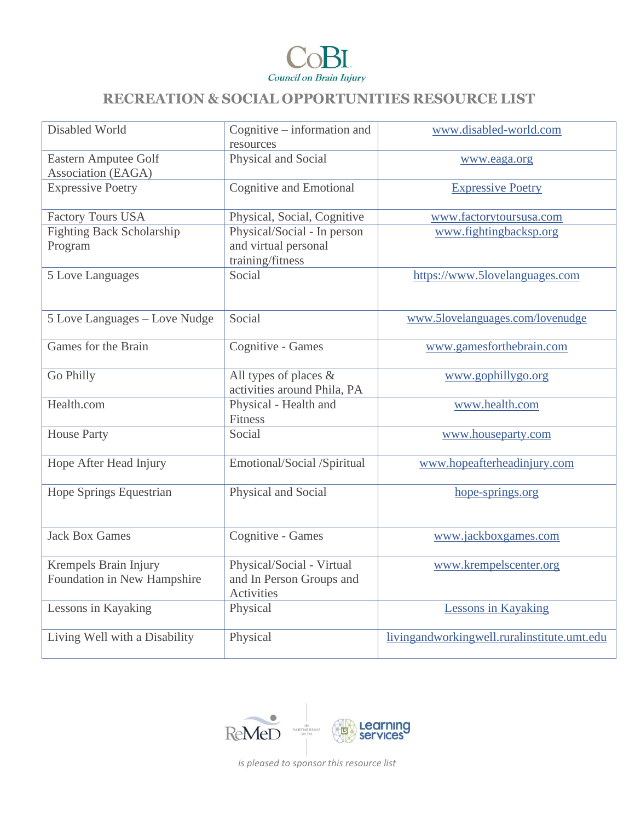

| Disabled World                                       | Cognitive – information and<br>resources                                | www.disabled-world.com                      |
|------------------------------------------------------|-------------------------------------------------------------------------|---------------------------------------------|
| <b>Eastern Amputee Golf</b><br>Association (EAGA)    | Physical and Social                                                     | www.eaga.org                                |
| <b>Expressive Poetry</b>                             | Cognitive and Emotional                                                 | <b>Expressive Poetry</b>                    |
| <b>Factory Tours USA</b>                             | Physical, Social, Cognitive                                             | www.factorytoursusa.com                     |
| <b>Fighting Back Scholarship</b><br>Program          | Physical/Social - In person<br>and virtual personal<br>training/fitness | www.fightingbacksp.org                      |
| 5 Love Languages                                     | Social                                                                  | https://www.5lovelanguages.com              |
| 5 Love Languages - Love Nudge                        | Social                                                                  | www.5lovelanguages.com/lovenudge            |
| Games for the Brain                                  | Cognitive - Games                                                       | www.gamesforthebrain.com                    |
| Go Philly                                            | All types of places &<br>activities around Phila, PA                    | www.gophillygo.org                          |
| Health.com                                           | Physical - Health and<br>Fitness                                        | www.health.com                              |
| <b>House Party</b>                                   | Social                                                                  | www.houseparty.com                          |
| Hope After Head Injury                               | Emotional/Social /Spiritual                                             | www.hopeafterheadinjury.com                 |
| <b>Hope Springs Equestrian</b>                       | Physical and Social                                                     | hope-springs.org                            |
| <b>Jack Box Games</b>                                | Cognitive - Games                                                       | www.jackboxgames.com                        |
| Krempels Brain Injury<br>Foundation in New Hampshire | Physical/Social - Virtual<br>and In Person Groups and<br>Activities     | www.krempelscenter.org                      |
| Lessons in Kayaking                                  | Physical                                                                | <b>Lessons in Kayaking</b>                  |
| Living Well with a Disability                        | Physical                                                                | livingandworkingwell.ruralinstitute.umt.edu |

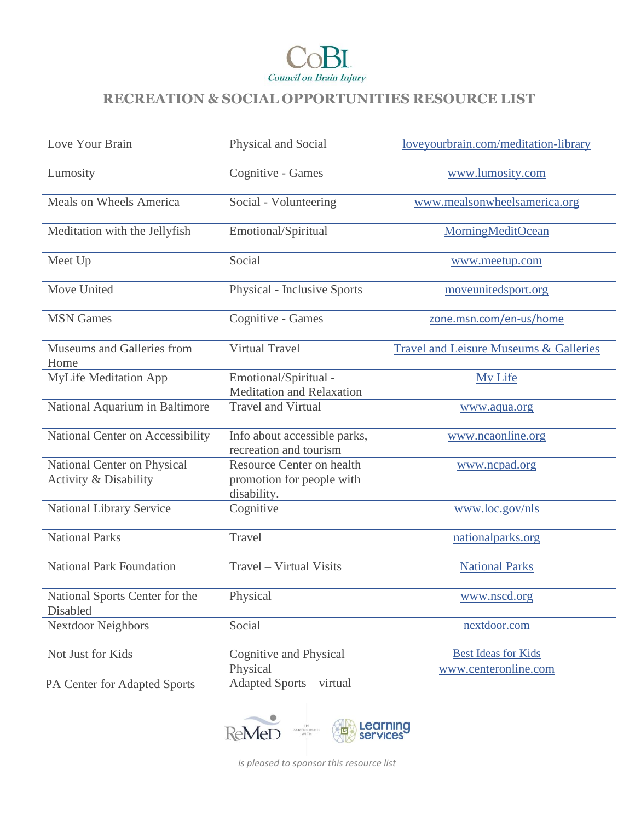

| Love Your Brain                                      | Physical and Social                                                   | loveyourbrain.com/meditation-library   |
|------------------------------------------------------|-----------------------------------------------------------------------|----------------------------------------|
| Lumosity                                             | Cognitive - Games                                                     | www.lumosity.com                       |
| Meals on Wheels America                              | Social - Volunteering                                                 | www.mealsonwheelsamerica.org           |
| Meditation with the Jellyfish                        | Emotional/Spiritual                                                   | <b>MorningMeditOcean</b>               |
| Meet Up                                              | Social                                                                | www.meetup.com                         |
| Move United                                          | <b>Physical - Inclusive Sports</b>                                    | moveunitedsport.org                    |
| <b>MSN</b> Games                                     | Cognitive - Games                                                     | zone.msn.com/en-us/home                |
| Museums and Galleries from<br>Home                   | <b>Virtual Travel</b>                                                 | Travel and Leisure Museums & Galleries |
| <b>MyLife Meditation App</b>                         | Emotional/Spiritual -<br><b>Meditation and Relaxation</b>             | My Life                                |
| National Aquarium in Baltimore                       | <b>Travel and Virtual</b>                                             | www.aqua.org                           |
| National Center on Accessibility                     | Info about accessible parks,<br>recreation and tourism                | www.ncaonline.org                      |
| National Center on Physical<br>Activity & Disability | Resource Center on health<br>promotion for people with<br>disability. | www.ncpad.org                          |
| National Library Service                             | Cognitive                                                             | www.loc.gov/nls                        |
| <b>National Parks</b>                                | Travel                                                                | nationalparks.org                      |
| <b>National Park Foundation</b>                      | Travel - Virtual Visits                                               | <b>National Parks</b>                  |
| National Sports Center for the<br>Disabled           | Physical                                                              | www.nscd.org                           |
| <b>Nextdoor Neighbors</b>                            | Social                                                                | nextdoor.com                           |
| Not Just for Kids                                    | Cognitive and Physical                                                | <b>Best Ideas for Kids</b>             |
| PA Center for Adapted Sports                         | Physical<br><b>Adapted Sports - virtual</b>                           | www.centeronline.com                   |

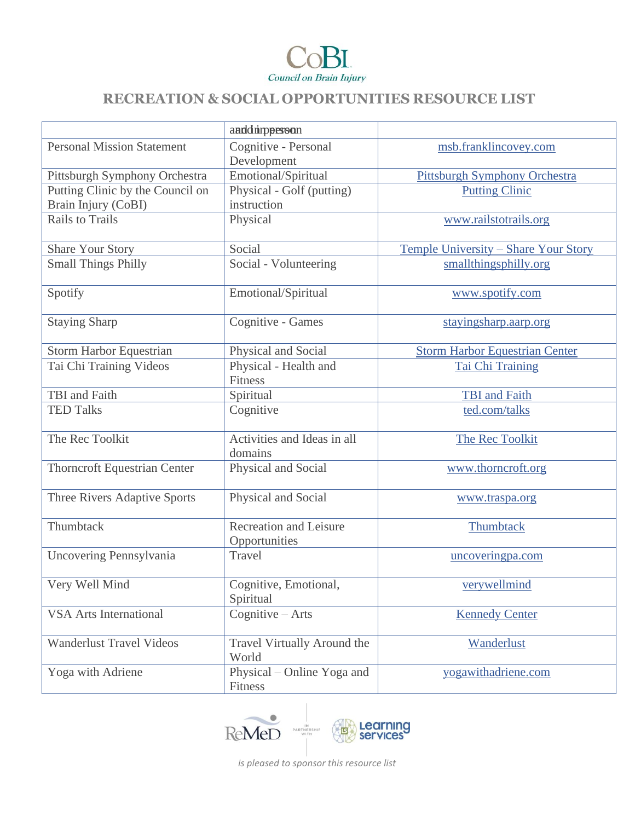

|                                                         | anddinpperson                                  |                                       |
|---------------------------------------------------------|------------------------------------------------|---------------------------------------|
| <b>Personal Mission Statement</b>                       | Cognitive - Personal<br>Development            | msb.franklincovey.com                 |
| Pittsburgh Symphony Orchestra                           | Emotional/Spiritual                            | Pittsburgh Symphony Orchestra         |
| Putting Clinic by the Council on<br>Brain Injury (CoBI) | Physical - Golf (putting)<br>instruction       | <b>Putting Clinic</b>                 |
| <b>Rails to Trails</b>                                  | Physical                                       | www.railstotrails.org                 |
| Share Your Story                                        | Social                                         | Temple University - Share Your Story  |
| <b>Small Things Philly</b>                              | Social - Volunteering                          | smallthingsphilly.org                 |
| Spotify                                                 | Emotional/Spiritual                            | www.spotify.com                       |
| <b>Staying Sharp</b>                                    | Cognitive - Games                              | stayingsharp.aarp.org                 |
| <b>Storm Harbor Equestrian</b>                          | Physical and Social                            | <b>Storm Harbor Equestrian Center</b> |
| Tai Chi Training Videos                                 | Physical - Health and<br>Fitness               | Tai Chi Training                      |
| TBI and Faith                                           | Spiritual                                      | <b>TBI</b> and Faith                  |
| <b>TED Talks</b>                                        | Cognitive                                      | ted.com/talks                         |
| The Rec Toolkit                                         | Activities and Ideas in all<br>domains         | The Rec Toolkit                       |
| <b>Thorncroft Equestrian Center</b>                     | Physical and Social                            | www.thorncroft.org                    |
| Three Rivers Adaptive Sports                            | Physical and Social                            | www.traspa.org                        |
| Thumbtack                                               | <b>Recreation and Leisure</b><br>Opportunities | Thumbtack                             |
| Uncovering Pennsylvania                                 | Travel                                         | uncoveringpa.com                      |
| Very Well Mind                                          | Cognitive, Emotional,<br>Spiritual             | verywellmind                          |
| <b>VSA Arts International</b>                           | Cognitive $-$ Arts                             | <b>Kennedy Center</b>                 |
| <b>Wanderlust Travel Videos</b>                         | Travel Virtually Around the<br>World           | Wanderlust                            |
| Yoga with Adriene                                       | Physical – Online Yoga and<br>Fitness          | yogawithadriene.com                   |